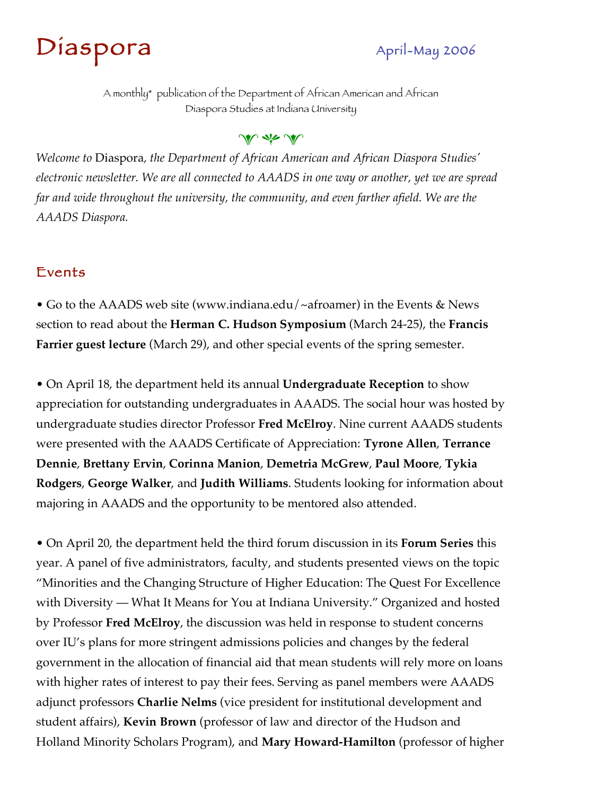# Diaspora April-May 2006

A monthly\* publication of the Department of African American and African Diaspora Studies at Indiana University

#### W die W

*Welcome to* Diaspora*, the Department of African American and African Diaspora Studies' electronic newsletter. We are all connected to AAADS in one way or another, yet we are spread far and wide throughout the university, the community, and even farther afield. We are the AAADS Diaspora.*

#### Events

• Go to the AAADS web site (www.indiana.edu/~afroamer) in the Events & News section to read about the **Herman C. Hudson Symposium** (March 24-25), the **Francis Farrier guest lecture** (March 29), and other special events of the spring semester.

• On April 18, the department held its annual **Undergraduate Reception** to show appreciation for outstanding undergraduates in AAADS. The social hour was hosted by undergraduate studies director Professor **Fred McElroy**. Nine current AAADS students were presented with the AAADS Certificate of Appreciation: **Tyrone Allen**, **Terrance Dennie**, **Brettany Ervin**, **Corinna Manion**, **Demetria McGrew**, **Paul Moore**, **Tykia Rodgers**, **George Walker**, and **Judith Williams**. Students looking for information about majoring in AAADS and the opportunity to be mentored also attended.

• On April 20, the department held the third forum discussion in its **Forum Series** this year. A panel of five administrators, faculty, and students presented views on the topic "Minorities and the Changing Structure of Higher Education: The Quest For Excellence with Diversity — What It Means for You at Indiana University." Organized and hosted by Professor **Fred McElroy**, the discussion was held in response to student concerns over IU's plans for more stringent admissions policies and changes by the federal government in the allocation of financial aid that mean students will rely more on loans with higher rates of interest to pay their fees. Serving as panel members were AAADS adjunct professors **Charlie Nelms** (vice president for institutional development and student affairs), **Kevin Brown** (professor of law and director of the Hudson and Holland Minority Scholars Program), and **Mary Howard-Hamilton** (professor of higher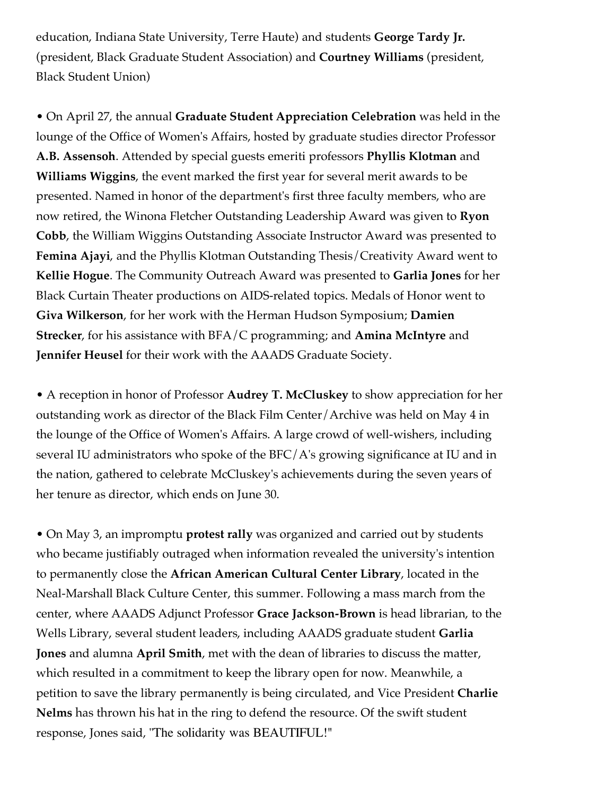education, Indiana State University, Terre Haute) and students **George Tardy Jr.** (president, Black Graduate Student Association) and **Courtney Williams** (president, Black Student Union)

• On April 27, the annual **Graduate Student Appreciation Celebration** was held in the lounge of the Office of Women's Affairs, hosted by graduate studies director Professor **A.B. Assensoh**. Attended by special guests emeriti professors **Phyllis Klotman** and **Williams Wiggins**, the event marked the first year for several merit awards to be presented. Named in honor of the department's first three faculty members, who are now retired, the Winona Fletcher Outstanding Leadership Award was given to **Ryon Cobb**, the William Wiggins Outstanding Associate Instructor Award was presented to **Femina Ajayi**, and the Phyllis Klotman Outstanding Thesis/Creativity Award went to **Kellie Hogue**. The Community Outreach Award was presented to **Garlia Jones** for her Black Curtain Theater productions on AIDS-related topics. Medals of Honor went to **Giva Wilkerson**, for her work with the Herman Hudson Symposium; **Damien Strecker**, for his assistance with BFA/C programming; and **Amina McIntyre** and **Jennifer Heusel** for their work with the AAADS Graduate Society.

• A reception in honor of Professor **Audrey T. McCluskey** to show appreciation for her outstanding work as director of the Black Film Center/Archive was held on May 4 in the lounge of the Office of Women's Affairs. A large crowd of well-wishers, including several IU administrators who spoke of the BFC/A's growing significance at IU and in the nation, gathered to celebrate McCluskey's achievements during the seven years of her tenure as director, which ends on June 30.

• On May 3, an impromptu **protest rally** was organized and carried out by students who became justifiably outraged when information revealed the university's intention to permanently close the **African American Cultural Center Library**, located in the Neal-Marshall Black Culture Center, this summer. Following a mass march from the center, where AAADS Adjunct Professor **Grace Jackson-Brown** is head librarian, to the Wells Library, several student leaders, including AAADS graduate student **Garlia Jones** and alumna **April Smith**, met with the dean of libraries to discuss the matter, which resulted in a commitment to keep the library open for now. Meanwhile, a petition to save the library permanently is being circulated, and Vice President **Charlie Nelms** has thrown his hat in the ring to defend the resource. Of the swift student response, Jones said, "The solidarity was BEAUTIFUL!"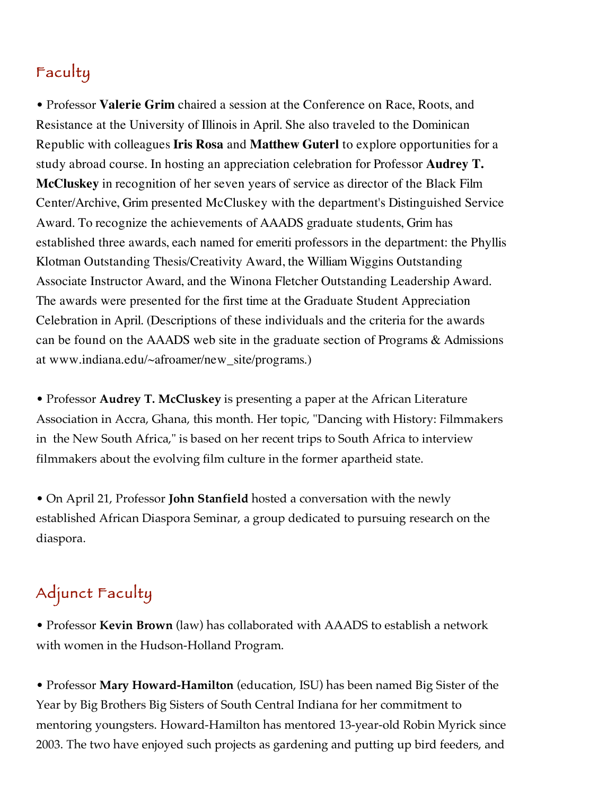# Faculty

• Professor **Valerie Grim** chaired a session at the Conference on Race, Roots, and Resistance at the University of Illinois in April. She also traveled to the Dominican Republic with colleagues **Iris Rosa** and **Matthew Guterl** to explore opportunities for a study abroad course. In hosting an appreciation celebration for Professor **Audrey T. McCluskey** in recognition of her seven years of service as director of the Black Film Center/Archive, Grim presented McCluskey with the department's Distinguished Service Award. To recognize the achievements of AAADS graduate students, Grim has established three awards, each named for emeriti professors in the department: the Phyllis Klotman Outstanding Thesis/Creativity Award, the William Wiggins Outstanding Associate Instructor Award, and the Winona Fletcher Outstanding Leadership Award. The awards were presented for the first time at the Graduate Student Appreciation Celebration in April. (Descriptions of these individuals and the criteria for the awards can be found on the AAADS web site in the graduate section of Programs & Admissions at www.indiana.edu/~afroamer/new\_site/programs.)

• Professor **Audrey T. McCluskey** is presenting a paper at the African Literature Association in Accra, Ghana, this month. Her topic, "Dancing with History: Filmmakers in the New South Africa," is based on her recent trips to South Africa to interview filmmakers about the evolving film culture in the former apartheid state.

• On April 21, Professor **John Stanfield** hosted a conversation with the newly established African Diaspora Seminar, a group dedicated to pursuing research on the diaspora.

# Adjunct Faculty

• Professor **Kevin Brown** (law) has collaborated with AAADS to establish a network with women in the Hudson-Holland Program.

• Professor **Mary Howard-Hamilton** (education, ISU) has been named Big Sister of the Year by Big Brothers Big Sisters of South Central Indiana for her commitment to mentoring youngsters. Howard-Hamilton has mentored 13-year-old Robin Myrick since 2003. The two have enjoyed such projects as gardening and putting up bird feeders, and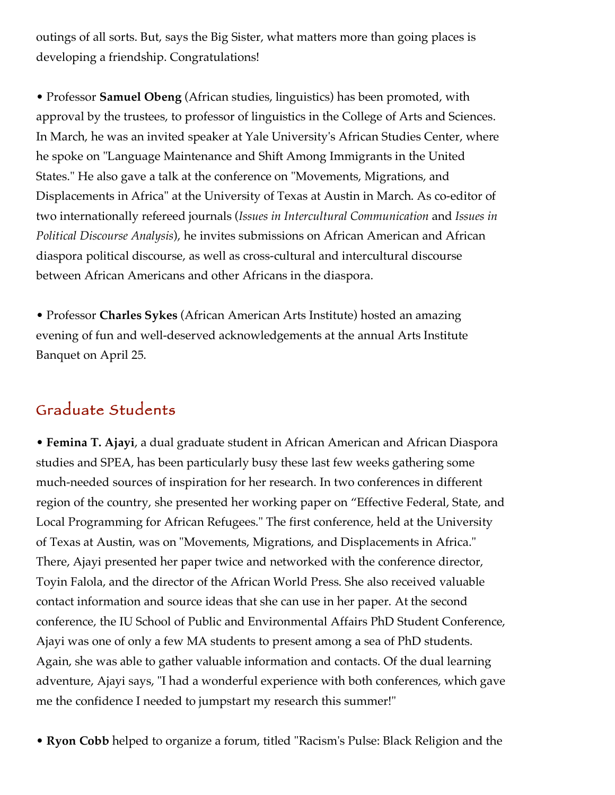outings of all sorts. But, says the Big Sister, what matters more than going places is developing a friendship. Congratulations!

• Professor **Samuel Obeng** (African studies, linguistics) has been promoted, with approval by the trustees, to professor of linguistics in the College of Arts and Sciences. In March, he was an invited speaker at Yale University's African Studies Center, where he spoke on "Language Maintenance and Shift Among Immigrants in the United States." He also gave a talk at the conference on "Movements, Migrations, and Displacements in Africa" at the University of Texas at Austin in March. As co-editor of two internationally refereed journals (*Issues in Intercultural Communication* and *Issues in Political Discourse Analysis*), he invites submissions on African American and African diaspora political discourse, as well as cross-cultural and intercultural discourse between African Americans and other Africans in the diaspora.

• Professor **Charles Sykes** (African American Arts Institute) hosted an amazing evening of fun and well-deserved acknowledgements at the annual Arts Institute Banquet on April 25.

## Graduate Students

• **Femina T. Ajayi**, a dual graduate student in African American and African Diaspora studies and SPEA, has been particularly busy these last few weeks gathering some much-needed sources of inspiration for her research. In two conferences in different region of the country, she presented her working paper on "Effective Federal, State, and Local Programming for African Refugees." The first conference, held at the University of Texas at Austin, was on "Movements, Migrations, and Displacements in Africa." There, Ajayi presented her paper twice and networked with the conference director, Toyin Falola, and the director of the African World Press. She also received valuable contact information and source ideas that she can use in her paper. At the second conference, the IU School of Public and Environmental Affairs PhD Student Conference, Ajayi was one of only a few MA students to present among a sea of PhD students. Again, she was able to gather valuable information and contacts. Of the dual learning adventure, Ajayi says, "I had a wonderful experience with both conferences, which gave me the confidence I needed to jumpstart my research this summer!"

• **Ryon Cobb** helped to organize a forum, titled "Racism's Pulse: Black Religion and the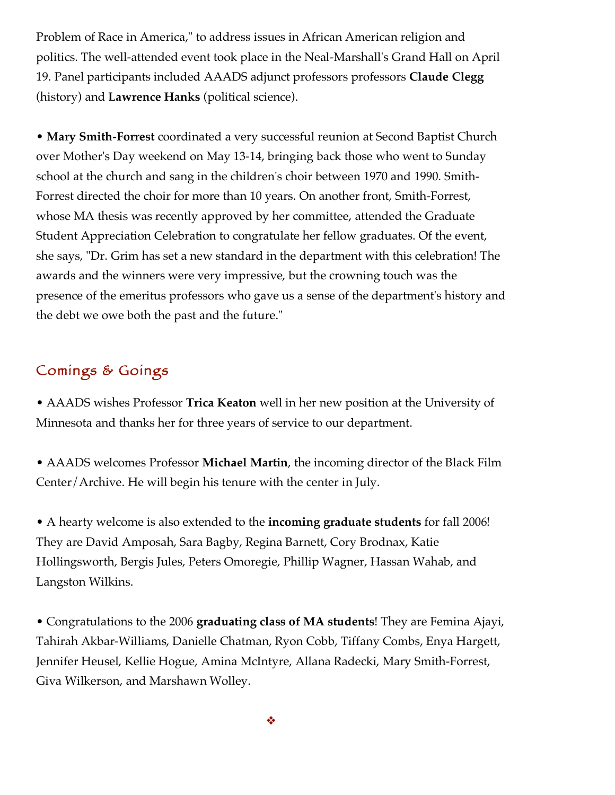Problem of Race in America," to address issues in African American religion and politics. The well-attended event took place in the Neal-Marshall's Grand Hall on April 19. Panel participants included AAADS adjunct professors professors **Claude Clegg** (history) and **Lawrence Hanks** (political science).

• **Mary Smith-Forrest** coordinated a very successful reunion at Second Baptist Church over Mother's Day weekend on May 13-14, bringing back those who went to Sunday school at the church and sang in the children's choir between 1970 and 1990. Smith-Forrest directed the choir for more than 10 years. On another front, Smith-Forrest, whose MA thesis was recently approved by her committee, attended the Graduate Student Appreciation Celebration to congratulate her fellow graduates. Of the event, she says, "Dr. Grim has set a new standard in the department with this celebration! The awards and the winners were very impressive, but the crowning touch was the presence of the emeritus professors who gave us a sense of the department's history and the debt we owe both the past and the future."

### Comings & Goings

• AAADS wishes Professor **Trica Keaton** well in her new position at the University of Minnesota and thanks her for three years of service to our department.

• AAADS welcomes Professor **Michael Martin**, the incoming director of the Black Film Center/Archive. He will begin his tenure with the center in July.

• A hearty welcome is also extended to the **incoming graduate students** for fall 2006! They are David Amposah, Sara Bagby, Regina Barnett, Cory Brodnax, Katie Hollingsworth, Bergis Jules, Peters Omoregie, Phillip Wagner, Hassan Wahab, and Langston Wilkins.

• Congratulations to the 2006 **graduating class of MA students**! They are Femina Ajayi, Tahirah Akbar-Williams, Danielle Chatman, Ryon Cobb, Tiffany Combs, Enya Hargett, Jennifer Heusel, Kellie Hogue, Amina McIntyre, Allana Radecki, Mary Smith-Forrest, Giva Wilkerson, and Marshawn Wolley.